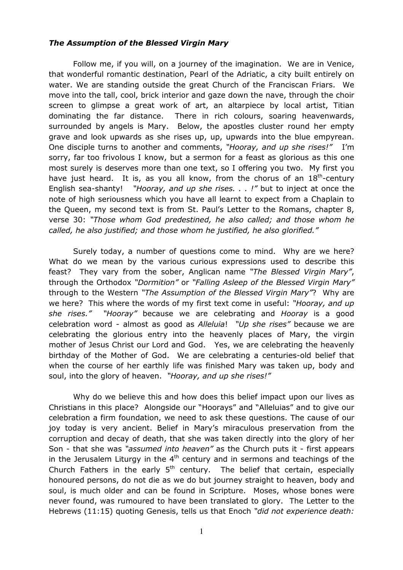## The Assumption of the Blessed Virgin Mary

Follow me, if you will, on a journey of the imagination. We are in Venice, that wonderful romantic destination, Pearl of the Adriatic, a city built entirely on water. We are standing outside the great Church of the Franciscan Friars. We move into the tall, cool, brick interior and gaze down the nave, through the choir screen to glimpse a great work of art, an altarpiece by local artist, Titian dominating the far distance. There in rich colours, soaring heavenwards, surrounded by angels is Mary. Below, the apostles cluster round her empty grave and look upwards as she rises up, up, upwards into the blue empyrean. One disciple turns to another and comments, "Hooray, and up she rises!" I'm sorry, far too frivolous I know, but a sermon for a feast as glorious as this one most surely is deserves more than one text, so I offering you two. My first you have just heard. It is, as you all know, from the chorus of an  $18<sup>th</sup>$ -century English sea-shanty! "Hooray, and up she rises. . . !" but to inject at once the note of high seriousness which you have all learnt to expect from a Chaplain to the Queen, my second text is from St. Paul's Letter to the Romans, chapter 8, verse 30: "Those whom God predestined, he also called; and those whom he called, he also justified; and those whom he justified, he also glorified."

Surely today, a number of questions come to mind. Why are we here? What do we mean by the various curious expressions used to describe this feast? They vary from the sober, Anglican name "The Blessed Virgin Mary", through the Orthodox "Dormition" or "Falling Asleep of the Blessed Virgin Mary" through to the Western "The Assumption of the Blessed Virgin Mary"? Why are we here? This where the words of my first text come in useful: "Hooray, and up she rises." "Hooray" because we are celebrating and Hooray is a good celebration word - almost as good as Alleluia! "Up she rises" because we are celebrating the glorious entry into the heavenly places of Mary, the virgin mother of Jesus Christ our Lord and God. Yes, we are celebrating the heavenly birthday of the Mother of God. We are celebrating a centuries-old belief that when the course of her earthly life was finished Mary was taken up, body and soul, into the glory of heaven. "Hooray, and up she rises!"

Why do we believe this and how does this belief impact upon our lives as Christians in this place? Alongside our "Hoorays" and "Alleluias" and to give our celebration a firm foundation, we need to ask these questions. The cause of our joy today is very ancient. Belief in Mary's miraculous preservation from the corruption and decay of death, that she was taken directly into the glory of her Son - that she was "assumed into heaven" as the Church puts it - first appears in the Jerusalem Liturgy in the  $4<sup>th</sup>$  century and in sermons and teachings of the Church Fathers in the early  $5<sup>th</sup>$  century. The belief that certain, especially honoured persons, do not die as we do but journey straight to heaven, body and soul, is much older and can be found in Scripture. Moses, whose bones were never found, was rumoured to have been translated to glory. The Letter to the Hebrews (11:15) quoting Genesis, tells us that Enoch "did not experience death: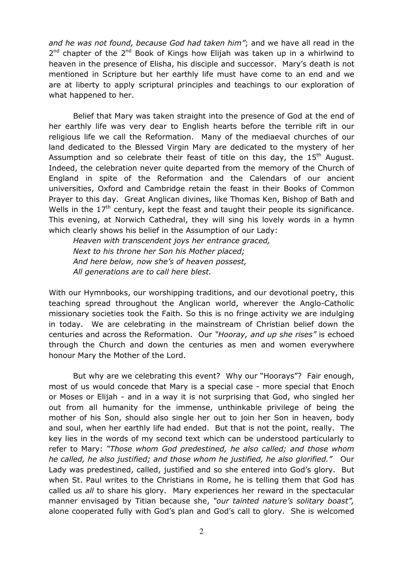and he was not found, because God had taken him"; and we have all read in the 2<sup>nd</sup> chapter of the 2<sup>nd</sup> Book of Kings how Elijah was taken up in a whirlwind to heaven in the presence of Elisha, his disciple and successor. Mary's death is not mentioned in Scripture but her earthly life must have come to an end and we are at liberty to apply scriptural principles and teachings to our exploration of what happened to her.

Belief that Mary was taken straight into the presence of God at the end of her earthly life was very dear to English hearts before the terrible rift in our religious life we call the Reformation. Many of the mediaeval churches of our land dedicated to the Blessed Virgin Mary are dedicated to the mystery of her Assumption and so celebrate their feast of title on this day, the  $15<sup>th</sup>$  August. Indeed, the celebration never quite departed from the memory of the Church of England in spite of the Reformation and the Calendars of our ancient universities, Oxford and Cambridge retain the feast in their Books of Common Prayer to this day. Great Anglican divines, like Thomas Ken, Bishop of Bath and Wells in the  $17<sup>th</sup>$  century, kept the feast and taught their people its significance. This evening, at Norwich Cathedral, they will sing his lovely words in a hymn which clearly shows his belief in the Assumption of our Lady:

Heaven with transcendent joys her entrance graced, Next to his throne her Son his Mother placed; And here below, now she's of heaven possest, All generations are to call here blest.

With our Hymnbooks, our worshipping traditions, and our devotional poetry, this teaching spread throughout the Anglican world, wherever the Anglo-Catholic missionary societies took the Faith. So this is no fringe activity we are indulging in today. We are celebrating in the mainstream of Christian belief down the centuries and across the Reformation. Our "Hooray, and up she rises" is echoed through the Church and down the centuries as men and women everywhere honour Mary the Mother of the Lord.

But why are we celebrating this event? Why our "Hoorays"? Fair enough, most of us would concede that Mary is a special case - more special that Enoch or Moses or Elijah - and in a way it is not surprising that God, who singled her out from all humanity for the immense, unthinkable privilege of being the mother of his Son, should also single her out to join her Son in heaven, body and soul, when her earthly life had ended. But that is not the point, really. The key lies in the words of my second text which can be understood particularly to refer to Mary: "Those whom God predestined, he also called; and those whom he called, he also justified; and those whom he justified, he also glorified." Our Lady was predestined, called, justified and so she entered into God's glory. But when St. Paul writes to the Christians in Rome, he is telling them that God has called us all to share his glory. Mary experiences her reward in the spectacular manner envisaged by Titian because she, "our tainted nature's solitary boast", alone cooperated fully with God's plan and God's call to glory. She is welcomed